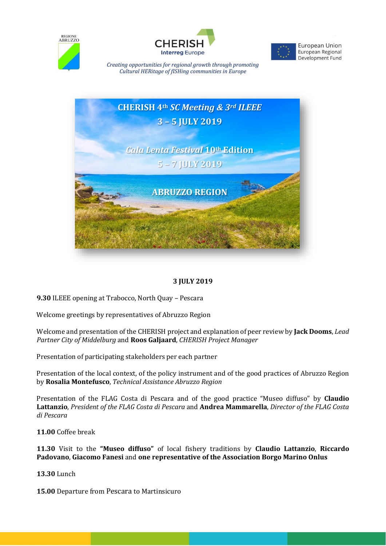





European Union European Regional Development Fund

*Creating opportunities for regional growth through promoting Cultural HERitage of fISHing communities in Europe*



#### **3 JULY 2019**

**9.30** ILEEE opening at Trabocco, North Quay – Pescara

Welcome greetings by representatives of Abruzzo Region

Welcome and presentation of the CHERISH project and explanation of peer review by **Jack Dooms**, *Lead Partner City of Middelburg* and **Roos Galjaard**, *CHERISH Project Manager*

Presentation of participating stakeholders per each partner

Presentation of the local context, of the policy instrument and of the good practices of Abruzzo Region by **Rosalia Montefusco**, *Technical Assistance Abruzzo Region*

Presentation of the FLAG Costa di Pescara and of the good practice "Museo diffuso" by **Claudio Lattanzio**, *President of the FLAG Costa di Pescara* and **Andrea Mammarella**, *Director of the FLAG Costa di Pescara*

**11.00** Coffee break

**11.30** Visit to the **"Museo diffuso"** of local fishery traditions by **Claudio Lattanzio**, **Riccardo Padovano**, **Giacomo Fanesi** and **one representative of the Association Borgo Marino Onlus**

**13.30** Lunch

**15.00** Departure from Pescara to Martinsicuro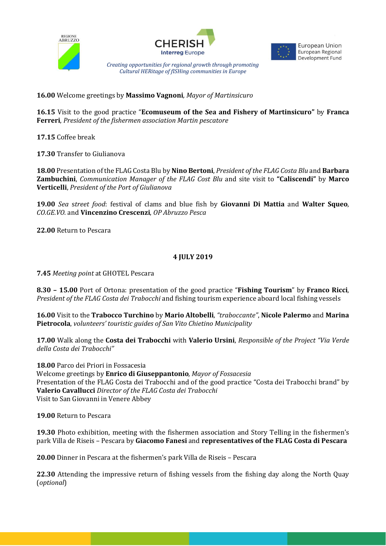





**European Union** European Regional Development Fund

*Creating opportunities for regional growth through promoting Cultural HERitage of fISHing communities in Europe*

**16.00** Welcome greetings by **Massimo Vagnoni***, Mayor of Martinsicuro*

**16.15** Visit to the good practice "**Ecomuseum of the Sea and Fishery of Martinsicuro"** by **Franca Ferreri**, *President of the fishermen association Martin pescatore*

**17.15** Coffee break

**17.30** Transfer to Giulianova

**18.00** Presentation of the FLAG Costa Blu by **Nino Bertoni**, *President of the FLAG Costa Blu* and **Barbara Zambuchini**, *Communication Manager of the FLAG Cost Blu* and site visit to **"Caliscendi"** by **Marco Verticelli**, *President of the Port of Giulianova*

**19.00** *Sea* s*treet food*: festival of clams and blue fish by **Giovanni Di Mattia** and **Walter Squeo**, *CO.GE.VO.* and **Vincenzino Crescenzi**, *OP Abruzzo Pesca*

**22.00** Return to Pescara

#### **4 JULY 2019**

**7.45** *Meeting point* at GHOTEL Pescara

**8.30 – 15.00** Port of Ortona: presentation of the good practice "**Fishing Tourism**" by **Franco Ricci**, *President of the FLAG Costa dei Trabocchi* and fishing tourism experience aboard local fishing vessels

**16.00** Visit to the **Trabocco Turchino** by **Mario Altobelli**, *"traboccante"*, **Nicole Palermo** and **Marina Pietrocola**, *volunteers' touristic guides of San Vito Chietino Municipality*

**17.00** Walk along the **Costa dei Trabocchi** with **Valerio Ursini**, *Responsible of the Project "Via Verde della Costa dei Trabocchi"*

**18.00** Parco dei Priori in Fossacesia Welcome greetings by **Enrico di Giuseppantonio***, Mayor of Fossacesia* Presentation of the FLAG Costa dei Trabocchi and of the good practice "Costa dei Trabocchi brand" by **Valerio Cavallucci** *Director of the FLAG Costa dei Trabocchi* Visit to San Giovanni in Venere Abbey

**19.00** Return to Pescara

**19.30** Photo exhibition, meeting with the fishermen association and Story Telling in the fishermen's park Villa de Riseis – Pescara by **Giacomo Fanesi** and **representatives of the FLAG Costa di Pescara**

**20.00** Dinner in Pescara at the fishermen's park Villa de Riseis – Pescara

**22.30** Attending the impressive return of fishing vessels from the fishing day along the North Quay (*optional*)